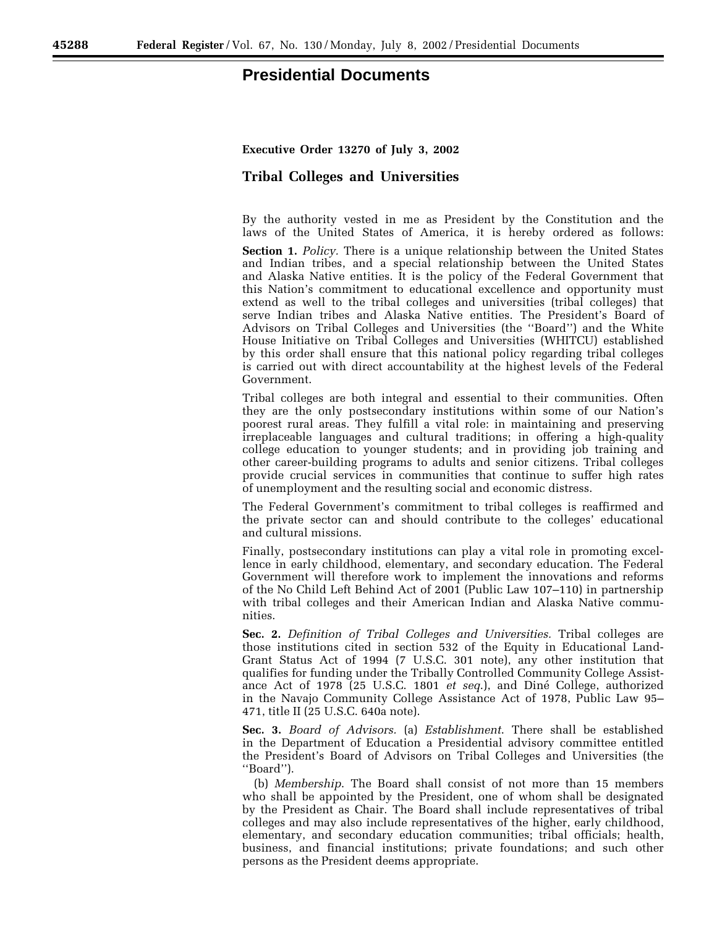## **Presidential Documents**

## **Executive Order 13270 of July 3, 2002**

## **Tribal Colleges and Universities**

By the authority vested in me as President by the Constitution and the laws of the United States of America, it is hereby ordered as follows:

**Section 1.** *Policy.* There is a unique relationship between the United States and Indian tribes, and a special relationship between the United States and Alaska Native entities. It is the policy of the Federal Government that this Nation's commitment to educational excellence and opportunity must extend as well to the tribal colleges and universities (tribal colleges) that serve Indian tribes and Alaska Native entities. The President's Board of Advisors on Tribal Colleges and Universities (the ''Board'') and the White House Initiative on Tribal Colleges and Universities (WHITCU) established by this order shall ensure that this national policy regarding tribal colleges is carried out with direct accountability at the highest levels of the Federal Government.

Tribal colleges are both integral and essential to their communities. Often they are the only postsecondary institutions within some of our Nation's poorest rural areas. They fulfill a vital role: in maintaining and preserving irreplaceable languages and cultural traditions; in offering a high-quality college education to younger students; and in providing job training and other career-building programs to adults and senior citizens. Tribal colleges provide crucial services in communities that continue to suffer high rates of unemployment and the resulting social and economic distress.

The Federal Government's commitment to tribal colleges is reaffirmed and the private sector can and should contribute to the colleges' educational and cultural missions.

Finally, postsecondary institutions can play a vital role in promoting excellence in early childhood, elementary, and secondary education. The Federal Government will therefore work to implement the innovations and reforms of the No Child Left Behind Act of 2001 (Public Law 107–110) in partnership with tribal colleges and their American Indian and Alaska Native communities.

**Sec. 2.** *Definition of Tribal Colleges and Universities.* Tribal colleges are those institutions cited in section 532 of the Equity in Educational Land-Grant Status Act of 1994 (7 U.S.C. 301 note), any other institution that qualifies for funding under the Tribally Controlled Community College Assistance Act of 1978 (25 U.S.C. 1801 *et seq*.), and Dine´ College, authorized in the Navajo Community College Assistance Act of 1978, Public Law 95– 471, title II (25 U.S.C. 640a note).

**Sec. 3.** *Board of Advisors.* (a) *Establishment*. There shall be established in the Department of Education a Presidential advisory committee entitled the President's Board of Advisors on Tribal Colleges and Universities (the ''Board'').

(b) *Membership*. The Board shall consist of not more than 15 members who shall be appointed by the President, one of whom shall be designated by the President as Chair. The Board shall include representatives of tribal colleges and may also include representatives of the higher, early childhood, elementary, and secondary education communities; tribal officials; health, business, and financial institutions; private foundations; and such other persons as the President deems appropriate.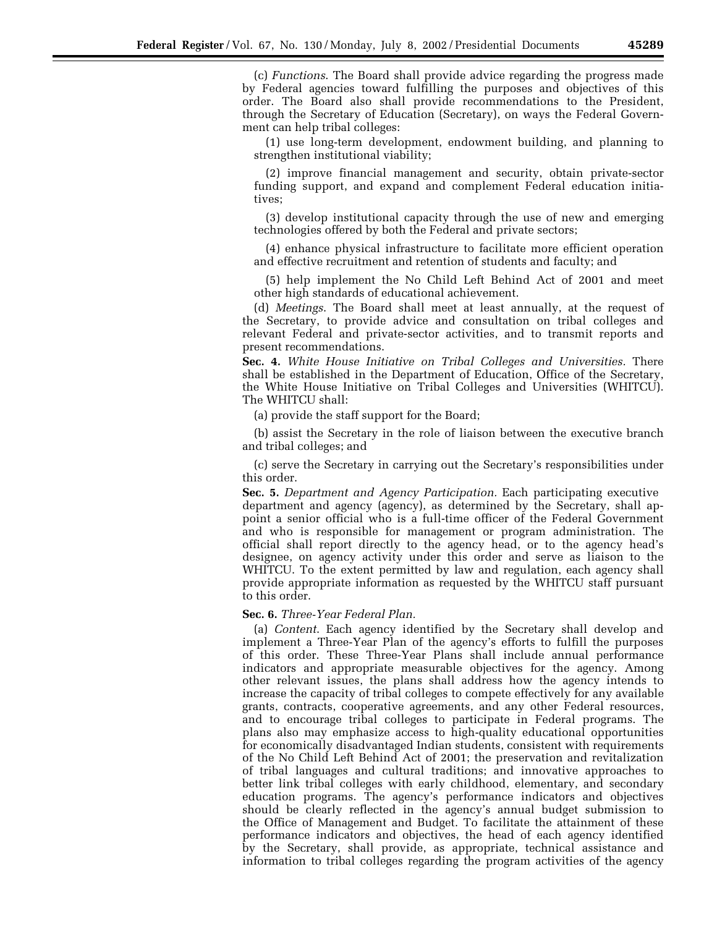(c) *Functions*. The Board shall provide advice regarding the progress made by Federal agencies toward fulfilling the purposes and objectives of this order. The Board also shall provide recommendations to the President, through the Secretary of Education (Secretary), on ways the Federal Government can help tribal colleges:

(1) use long-term development, endowment building, and planning to strengthen institutional viability;

(2) improve financial management and security, obtain private-sector funding support, and expand and complement Federal education initiatives;

(3) develop institutional capacity through the use of new and emerging technologies offered by both the Federal and private sectors;

(4) enhance physical infrastructure to facilitate more efficient operation and effective recruitment and retention of students and faculty; and

(5) help implement the No Child Left Behind Act of 2001 and meet other high standards of educational achievement.

(d) *Meetings*. The Board shall meet at least annually, at the request of the Secretary, to provide advice and consultation on tribal colleges and relevant Federal and private-sector activities, and to transmit reports and present recommendations.

**Sec. 4.** *White House Initiative on Tribal Colleges and Universities.* There shall be established in the Department of Education, Office of the Secretary, the White House Initiative on Tribal Colleges and Universities (WHITCU). The WHITCU shall:

(a) provide the staff support for the Board;

(b) assist the Secretary in the role of liaison between the executive branch and tribal colleges; and

(c) serve the Secretary in carrying out the Secretary's responsibilities under this order.

**Sec. 5.** *Department and Agency Participation.* Each participating executive department and agency (agency), as determined by the Secretary, shall appoint a senior official who is a full-time officer of the Federal Government and who is responsible for management or program administration. The official shall report directly to the agency head, or to the agency head's designee, on agency activity under this order and serve as liaison to the WHITCU. To the extent permitted by law and regulation, each agency shall provide appropriate information as requested by the WHITCU staff pursuant to this order.

## **Sec. 6.** *Three-Year Federal Plan.*

(a) *Content*. Each agency identified by the Secretary shall develop and implement a Three-Year Plan of the agency's efforts to fulfill the purposes of this order. These Three-Year Plans shall include annual performance indicators and appropriate measurable objectives for the agency. Among other relevant issues, the plans shall address how the agency intends to increase the capacity of tribal colleges to compete effectively for any available grants, contracts, cooperative agreements, and any other Federal resources, and to encourage tribal colleges to participate in Federal programs. The plans also may emphasize access to high-quality educational opportunities for economically disadvantaged Indian students, consistent with requirements of the No Child Left Behind Act of 2001; the preservation and revitalization of tribal languages and cultural traditions; and innovative approaches to better link tribal colleges with early childhood, elementary, and secondary education programs. The agency's performance indicators and objectives should be clearly reflected in the agency's annual budget submission to the Office of Management and Budget. To facilitate the attainment of these performance indicators and objectives, the head of each agency identified by the Secretary, shall provide, as appropriate, technical assistance and information to tribal colleges regarding the program activities of the agency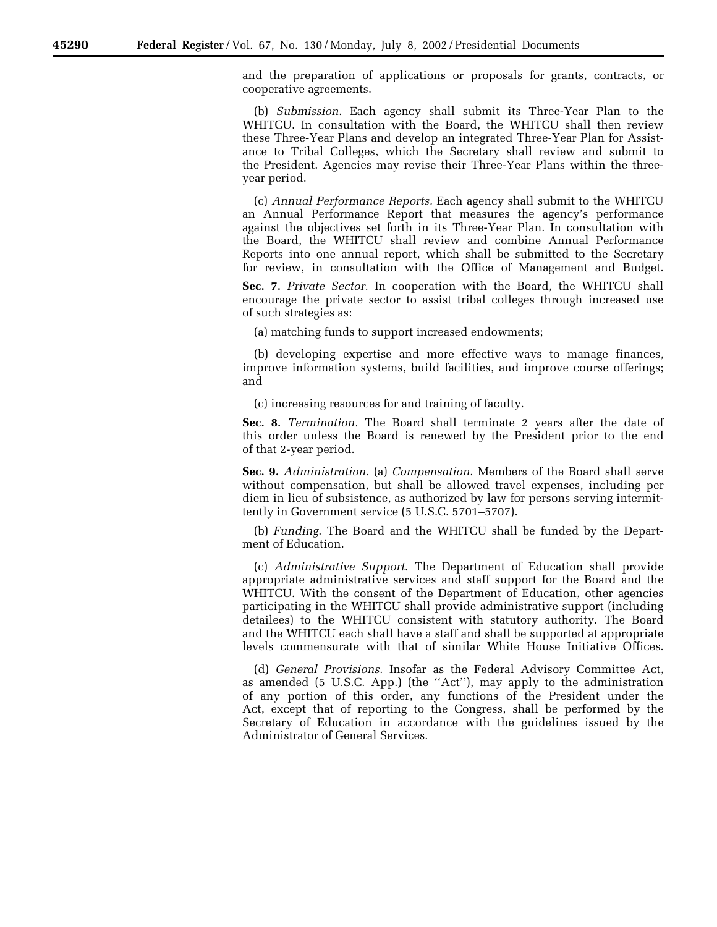and the preparation of applications or proposals for grants, contracts, or cooperative agreements.

(b) *Submission*. Each agency shall submit its Three-Year Plan to the WHITCU. In consultation with the Board, the WHITCU shall then review these Three-Year Plans and develop an integrated Three-Year Plan for Assistance to Tribal Colleges, which the Secretary shall review and submit to the President. Agencies may revise their Three-Year Plans within the threeyear period.

(c) *Annual Performance Reports.* Each agency shall submit to the WHITCU an Annual Performance Report that measures the agency's performance against the objectives set forth in its Three-Year Plan. In consultation with the Board, the WHITCU shall review and combine Annual Performance Reports into one annual report, which shall be submitted to the Secretary for review, in consultation with the Office of Management and Budget.

**Sec. 7.** *Private Sector.* In cooperation with the Board, the WHITCU shall encourage the private sector to assist tribal colleges through increased use of such strategies as:

(a) matching funds to support increased endowments;

(b) developing expertise and more effective ways to manage finances, improve information systems, build facilities, and improve course offerings; and

(c) increasing resources for and training of faculty.

**Sec. 8.** *Termination.* The Board shall terminate 2 years after the date of this order unless the Board is renewed by the President prior to the end of that 2-year period.

**Sec. 9.** *Administration.* (a) *Compensation*. Members of the Board shall serve without compensation, but shall be allowed travel expenses, including per diem in lieu of subsistence, as authorized by law for persons serving intermittently in Government service (5 U.S.C. 5701–5707).

(b) *Funding*. The Board and the WHITCU shall be funded by the Department of Education.

(c) *Administrative Support*. The Department of Education shall provide appropriate administrative services and staff support for the Board and the WHITCU. With the consent of the Department of Education, other agencies participating in the WHITCU shall provide administrative support (including detailees) to the WHITCU consistent with statutory authority. The Board and the WHITCU each shall have a staff and shall be supported at appropriate levels commensurate with that of similar White House Initiative Offices.

(d) *General Provisions*. Insofar as the Federal Advisory Committee Act, as amended (5 U.S.C. App.) (the ''Act''), may apply to the administration of any portion of this order, any functions of the President under the Act, except that of reporting to the Congress, shall be performed by the Secretary of Education in accordance with the guidelines issued by the Administrator of General Services.